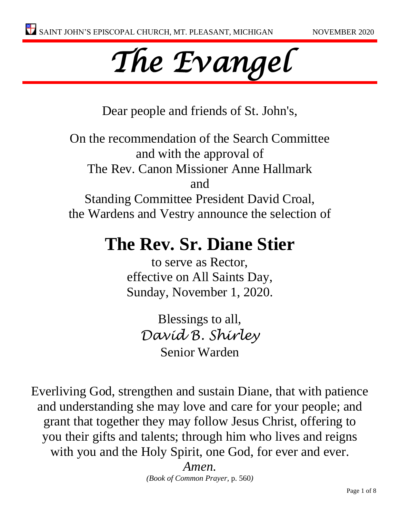

Dear people and friends of St. John's,

On the recommendation of the Search Committee and with the approval of The Rev. Canon Missioner Anne Hallmark and Standing Committee President David Croal, the Wardens and Vestry announce the selection of

# **The Rev. Sr. Diane Stier**

to serve as Rector, effective on All Saints Day, Sunday, November 1, 2020.

Blessings to all, *David B. Shirley* Senior Warden

Everliving God, strengthen and sustain Diane, that with patience and understanding she may love and care for your people; and grant that together they may follow Jesus Christ, offering to you their gifts and talents; through him who lives and reigns with you and the Holy Spirit, one God, for ever and ever.

> *Amen. (Book of Common Prayer,* p. 560*)*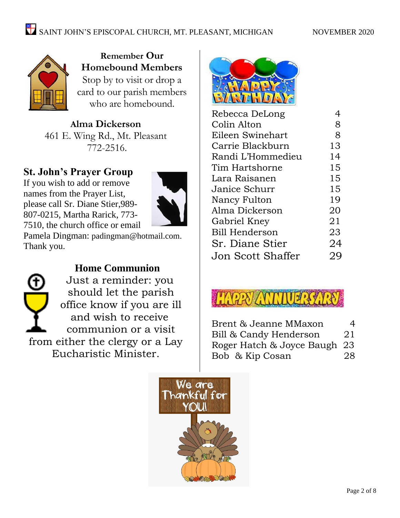

**Remember Our Homebound Members** Stop by to visit or drop a card to our parish members who are homebound.

**Alma Dickerson** 461 E. Wing Rd., Mt. Pleasant 772-2516.

# **St. John's Prayer Group**

If you wish to add or remove names from the Prayer List, please call Sr. Diane Stier,989- 807-0215, Martha Rarick, 773- 7510, the church office or email



Pamela Dingman: [padingman@hotmail.com.](mailto:padingman@hotmail.com) Thank you.



# **Home Communion**

Just a reminder: you should let the parish office know if you are ill and wish to receive communion or a visit from either the clergy or a Lay Eucharistic Minister.



| Rebecca DeLong        |    |
|-----------------------|----|
| Colin Alton           | 8  |
| Eileen Swinehart      | 8  |
| Carrie Blackburn      | 13 |
| Randi L'Hommedieu     | 14 |
| Tim Hartshorne        | 15 |
| Lara Raisanen         | 15 |
| Janice Schurr         | 15 |
| Nancy Fulton          | 19 |
| Alma Dickerson        | 20 |
| Gabriel Kney          | 21 |
| <b>Bill Henderson</b> | 23 |
| Sr. Diane Stier       | 24 |
| Jon Scott Shaffer     | 29 |
|                       |    |



| Brent & Jeanne MMaxon        | 4  |
|------------------------------|----|
| Bill & Candy Henderson       | 21 |
| Roger Hatch & Joyce Baugh 23 |    |
| Bob & Kip Cosan              | 28 |

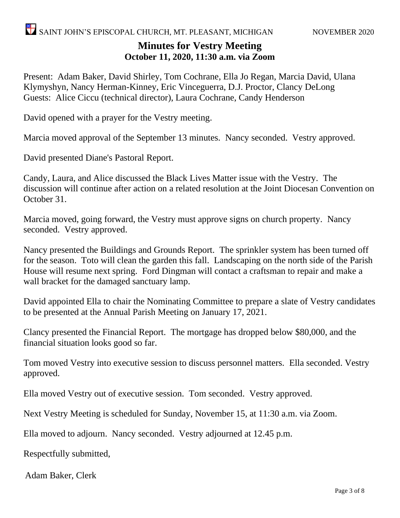# **Minutes for Vestry Meeting October 11, 2020, 11:30 a.m. via Zoom**

Present: Adam Baker, David Shirley, Tom Cochrane, Ella Jo Regan, Marcia David, Ulana Klymyshyn, Nancy Herman-Kinney, Eric Vinceguerra, D.J. Proctor, Clancy DeLong Guests: Alice Ciccu (technical director), Laura Cochrane, Candy Henderson

David opened with a prayer for the Vestry meeting.

Marcia moved approval of the September 13 minutes. Nancy seconded. Vestry approved.

David presented Diane's Pastoral Report.

Candy, Laura, and Alice discussed the Black Lives Matter issue with the Vestry. The discussion will continue after action on a related resolution at the Joint Diocesan Convention on October 31.

Marcia moved, going forward, the Vestry must approve signs on church property. Nancy seconded. Vestry approved.

Nancy presented the Buildings and Grounds Report. The sprinkler system has been turned off for the season. Toto will clean the garden this fall. Landscaping on the north side of the Parish House will resume next spring. Ford Dingman will contact a craftsman to repair and make a wall bracket for the damaged sanctuary lamp.

David appointed Ella to chair the Nominating Committee to prepare a slate of Vestry candidates to be presented at the Annual Parish Meeting on January 17, 2021.

Clancy presented the Financial Report. The mortgage has dropped below \$80,000, and the financial situation looks good so far.

Tom moved Vestry into executive session to discuss personnel matters. Ella seconded. Vestry approved.

Ella moved Vestry out of executive session. Tom seconded. Vestry approved.

Next Vestry Meeting is scheduled for Sunday, November 15, at 11:30 a.m. via Zoom.

Ella moved to adjourn. Nancy seconded. Vestry adjourned at 12.45 p.m.

Respectfully submitted,

Adam Baker, Clerk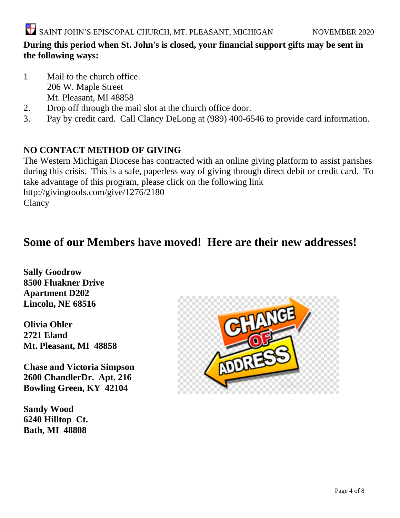## **During this period when St. John's is closed, your financial support gifts may be sent in the following ways:**

- 1 Mail to the church office. 206 W. Maple Street Mt. Pleasant, MI 48858
- 2. Drop off through the mail slot at the church office door.
- 3. Pay by credit card. Call Clancy DeLong at (989) 400-6546 to provide card information.

# **NO CONTACT METHOD OF GIVING**

The Western Michigan Diocese has contracted with an online giving platform to assist parishes during this crisis. This is a safe, paperless way of giving through direct debit or credit card. To take advantage of this program, please click on the following link <http://givingtools.com/give/1276/2180> **Clancy** 

# **Some of our Members have moved! Here are their new addresses!**

**Sally Goodrow 8500 Fluakner Drive Apartment D202 Lincoln, NE 68516**

**Olivia Ohler 2721 Eland Mt. Pleasant, MI 48858**

**Chase and Victoria Simpson 2600 ChandlerDr. Apt. 216 Bowling Green, KY 42104**

**Sandy Wood 6240 Hilltop Ct. Bath, MI 48808**

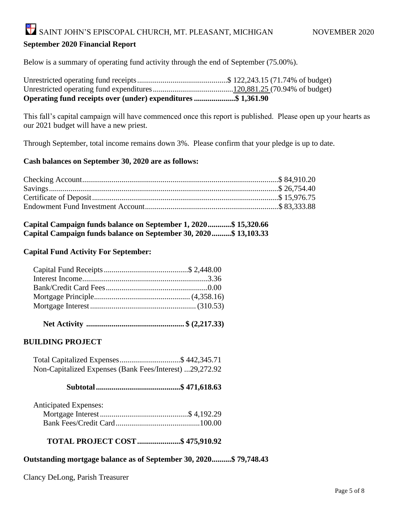# SAINT JOHN'S EPISCOPAL CHURCH, MT. PLEASANT, MICHIGAN NOVEMBER 2020

#### **September 2020 Financial Report**

Below is a summary of operating fund activity through the end of September (75.00%).

| Operating fund receipts over (under) expenditures \$ 1,361.90 |  |
|---------------------------------------------------------------|--|

This fall's capital campaign will have commenced once this report is published. Please open up your hearts as our 2021 budget will have a new priest.

Through September, total income remains down 3%. Please confirm that your pledge is up to date.

#### **Cash balances on September 30, 2020 are as follows:**

| Capital Campaign funds balance on September 1, 2020\$ 15,320.66  |  |  |
|------------------------------------------------------------------|--|--|
| Capital Campaign funds balance on September 30, 2020\$ 13,103.33 |  |  |

#### **Capital Fund Activity For September:**

|--|--|--|--|

#### **BUILDING PROJECT**

 Total Capitalized Expenses...............................\$ 442,345.71 Non-Capitalized Expenses (Bank Fees/Interest) ...29,272.92

#### **Subtotal...........................................\$ 471,618.63**

| <b>Anticipated Expenses:</b> |  |
|------------------------------|--|
|                              |  |
|                              |  |

#### **TOTAL PROJECT COST......................\$ 475,910.92**

#### **Outstanding mortgage balance as of September 30, 2020..........\$ 79,748.43**

Clancy DeLong, Parish Treasurer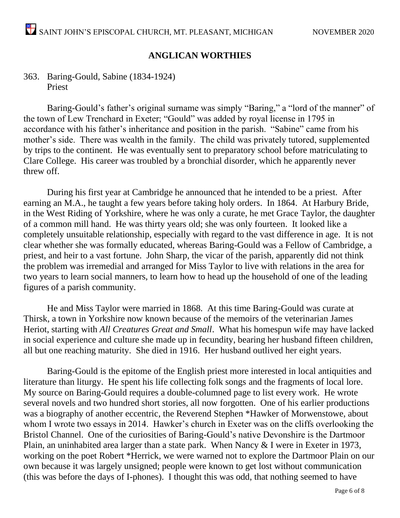## **ANGLICAN WORTHIES**

### 363. Baring-Gould, Sabine (1834-1924) Priest

Baring-Gould's father's original surname was simply "Baring," a "lord of the manner" of the town of Lew Trenchard in Exeter; "Gould" was added by royal license in 1795 in accordance with his father's inheritance and position in the parish. "Sabine" came from his mother's side. There was wealth in the family. The child was privately tutored, supplemented by trips to the continent. He was eventually sent to preparatory school before matriculating to Clare College. His career was troubled by a bronchial disorder, which he apparently never threw off.

During his first year at Cambridge he announced that he intended to be a priest. After earning an M.A., he taught a few years before taking holy orders. In 1864. At Harbury Bride, in the West Riding of Yorkshire, where he was only a curate, he met Grace Taylor, the daughter of a common mill hand. He was thirty years old; she was only fourteen. It looked like a completely unsuitable relationship, especially with regard to the vast difference in age. It is not clear whether she was formally educated, whereas Baring-Gould was a Fellow of Cambridge, a priest, and heir to a vast fortune. John Sharp, the vicar of the parish, apparently did not think the problem was irremedial and arranged for Miss Taylor to live with relations in the area for two years to learn social manners, to learn how to head up the household of one of the leading figures of a parish community.

He and Miss Taylor were married in 1868. At this time Baring-Gould was curate at Thirsk, a town in Yorkshire now known because of the memoirs of the veterinarian James Heriot, starting with *All Creatures Great and Small*. What his homespun wife may have lacked in social experience and culture she made up in fecundity, bearing her husband fifteen children, all but one reaching maturity. She died in 1916. Her husband outlived her eight years.

Baring-Gould is the epitome of the English priest more interested in local antiquities and literature than liturgy. He spent his life collecting folk songs and the fragments of local lore. My source on Baring-Gould requires a double-columned page to list every work. He wrote several novels and two hundred short stories, all now forgotten. One of his earlier productions was a biography of another eccentric, the Reverend Stephen \*Hawker of Morwenstowe, about whom I wrote two essays in 2014. Hawker's church in Exeter was on the cliffs overlooking the Bristol Channel. One of the curiosities of Baring-Gould's native Devonshire is the Dartmoor Plain, an uninhabited area larger than a state park. When Nancy & I were in Exeter in 1973, working on the poet Robert \*Herrick, we were warned not to explore the Dartmoor Plain on our own because it was largely unsigned; people were known to get lost without communication (this was before the days of I-phones). I thought this was odd, that nothing seemed to have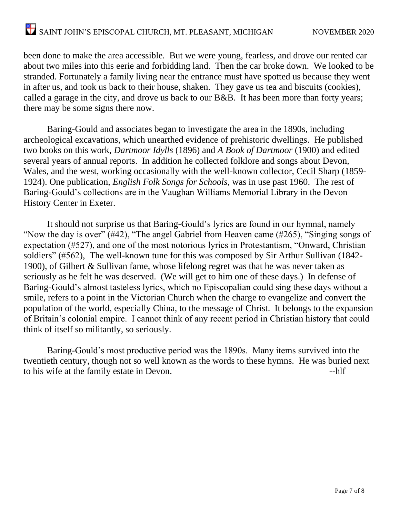been done to make the area accessible. But we were young, fearless, and drove our rented car about two miles into this eerie and forbidding land. Then the car broke down. We looked to be stranded. Fortunately a family living near the entrance must have spotted us because they went in after us, and took us back to their house, shaken. They gave us tea and biscuits (cookies), called a garage in the city, and drove us back to our B&B. It has been more than forty years; there may be some signs there now.

Baring-Gould and associates began to investigate the area in the 1890s, including archeological excavations, which unearthed evidence of prehistoric dwellings. He published two books on this work, *Dartmoor Idylls* (1896) and *A Book of Dartmoor* (1900) and edited several years of annual reports. In addition he collected folklore and songs about Devon, Wales, and the west, working occasionally with the well-known collector, Cecil Sharp (1859- 1924). One publication, *English Folk Songs for Schools*, was in use past 1960. The rest of Baring-Gould's collections are in the Vaughan Williams Memorial Library in the Devon History Center in Exeter.

It should not surprise us that Baring-Gould's lyrics are found in our hymnal, namely "Now the day is over" (#42), "The angel Gabriel from Heaven came (#265), "Singing songs of expectation (#527), and one of the most notorious lyrics in Protestantism, "Onward, Christian soldiers" (#562), The well-known tune for this was composed by Sir Arthur Sullivan (1842- 1900), of Gilbert & Sullivan fame, whose lifelong regret was that he was never taken as seriously as he felt he was deserved. (We will get to him one of these days.) In defense of Baring-Gould's almost tasteless lyrics, which no Episcopalian could sing these days without a smile, refers to a point in the Victorian Church when the charge to evangelize and convert the population of the world, especially China, to the message of Christ. It belongs to the expansion of Britain's colonial empire. I cannot think of any recent period in Christian history that could think of itself so militantly, so seriously.

Baring-Gould's most productive period was the 1890s. Many items survived into the twentieth century, though not so well known as the words to these hymns. He was buried next to his wife at the family estate in Devon.  $\blacksquare$